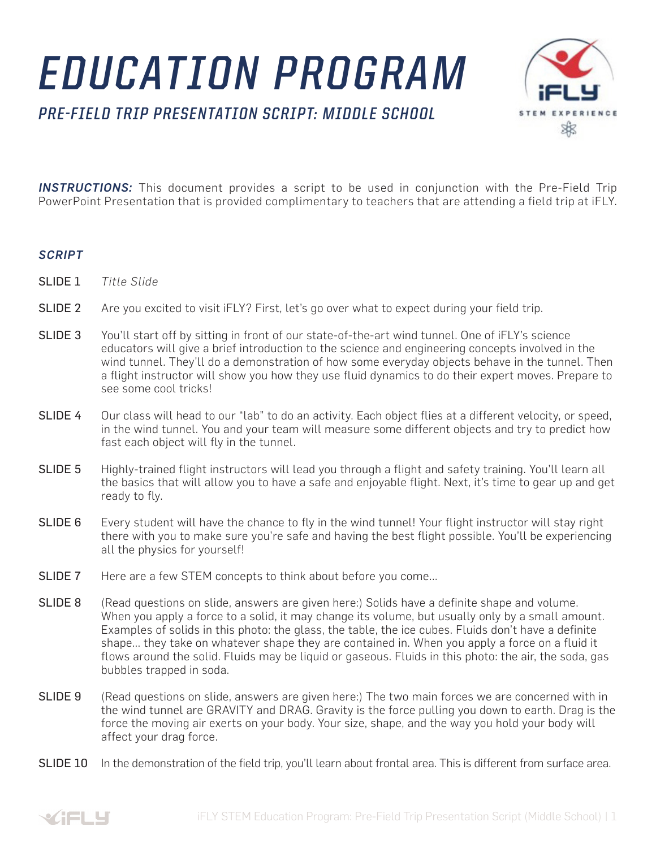## *EDUCATION PROGRAM*

*PRE-FIELD TRIP PRESENTATION SCRIPT: MIDDLE SCHOOL*



**INSTRUCTIONS:** This document provides a script to be used in conjunction with the Pre-Field Trip PowerPoint Presentation that is provided complimentary to teachers that are attending a field trip at iFLY.

## *SCRIPT*

- SLIDE 1 *Title Slide*
- SLIDE 2 Are you excited to visit iFLY? First, let's go over what to expect during your field trip.
- SLIDE 3 You'll start off by sitting in front of our state-of-the-art wind tunnel. One of iFLY's science educators will give a brief introduction to the science and engineering concepts involved in the wind tunnel. They'll do a demonstration of how some everyday objects behave in the tunnel. Then a flight instructor will show you how they use fluid dynamics to do their expert moves. Prepare to see some cool tricks!
- SLIDE 4 Our class will head to our "lab" to do an activity. Each object flies at a different velocity, or speed, in the wind tunnel. You and your team will measure some different objects and try to predict how fast each object will fly in the tunnel.
- SLIDE 5 Highly-trained flight instructors will lead you through a flight and safety training. You'll learn all the basics that will allow you to have a safe and enjoyable flight. Next, it's time to gear up and get ready to fly.
- SLIDE 6 Every student will have the chance to fly in the wind tunnel! Your flight instructor will stay right there with you to make sure you're safe and having the best flight possible. You'll be experiencing all the physics for yourself!
- SLIDE 7 Here are a few STEM concepts to think about before you come...
- SLIDE 8 (Read questions on slide, answers are given here:) Solids have a definite shape and volume. When you apply a force to a solid, it may change its volume, but usually only by a small amount. Examples of solids in this photo: the glass, the table, the ice cubes. Fluids don't have a definite shape... they take on whatever shape they are contained in. When you apply a force on a fluid it flows around the solid. Fluids may be liquid or gaseous. Fluids in this photo: the air, the soda, gas bubbles trapped in soda.
- SLIDE 9 (Read questions on slide, answers are given here:) The two main forces we are concerned with in the wind tunnel are GRAVITY and DRAG. Gravity is the force pulling you down to earth. Drag is the force the moving air exerts on your body. Your size, shape, and the way you hold your body will affect your drag force.
- SLIDE 10 In the demonstration of the field trip, you'll learn about frontal area. This is different from surface area.